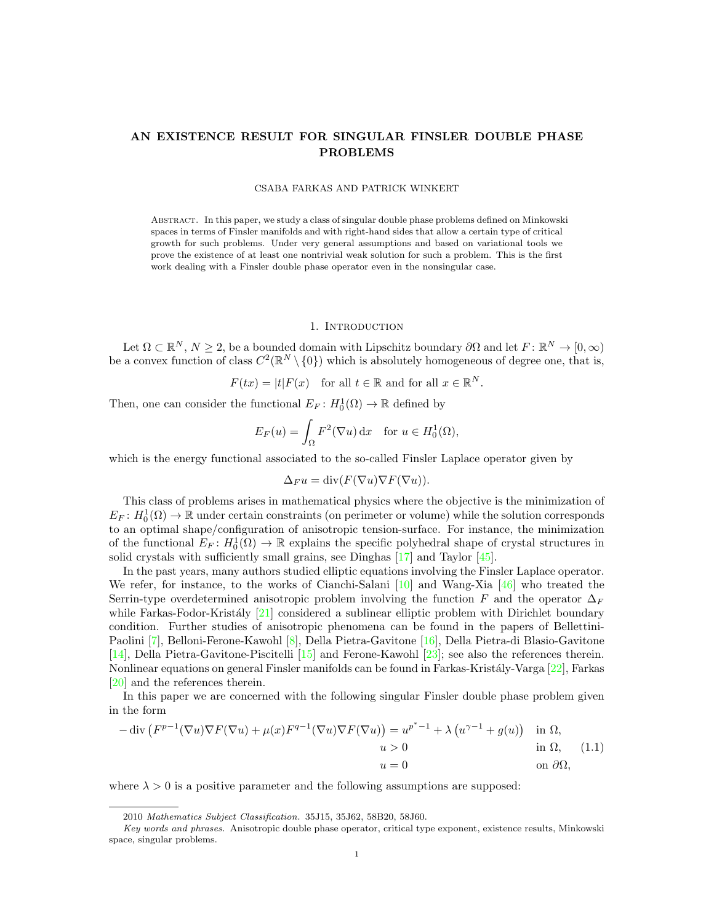# AN EXISTENCE RESULT FOR SINGULAR FINSLER DOUBLE PHASE PROBLEMS

#### CSABA FARKAS AND PATRICK WINKERT

Abstract. In this paper, we study a class of singular double phase problems defined on Minkowski spaces in terms of Finsler manifolds and with right-hand sides that allow a certain type of critical growth for such problems. Under very general assumptions and based on variational tools we prove the existence of at least one nontrivial weak solution for such a problem. This is the first work dealing with a Finsler double phase operator even in the nonsingular case.

# 1. INTRODUCTION

Let  $\Omega \subset \mathbb{R}^N$ ,  $N \geq 2$ , be a bounded domain with Lipschitz boundary  $\partial\Omega$  and let  $F: \mathbb{R}^N \to [0, \infty)$ be a convex function of class  $C^2(\mathbb{R}^N \setminus \{0\})$  which is absolutely homogeneous of degree one, that is,

$$
F(tx) = |t|F(x) \quad \text{for all } t \in \mathbb{R} \text{ and for all } x \in \mathbb{R}^N.
$$

Then, one can consider the functional  $E_F: H_0^1(\Omega) \to \mathbb{R}$  defined by

$$
E_F(u) = \int_{\Omega} F^2(\nabla u) \, \mathrm{d}x \quad \text{for } u \in H_0^1(\Omega),
$$

which is the energy functional associated to the so-called Finsler Laplace operator given by

$$
\Delta_F u = \text{div}(F(\nabla u)\nabla F(\nabla u)).
$$

This class of problems arises in mathematical physics where the objective is the minimization of  $E_F: H_0^1(\Omega) \to \mathbb{R}$  under certain constraints (on perimeter or volume) while the solution corresponds to an optimal shape/configuration of anisotropic tension-surface. For instance, the minimization of the functional  $E_F: H_0^1(\Omega) \to \mathbb{R}$  explains the specific polyhedral shape of crystal structures in solid crystals with sufficiently small grains, see Dinghas [\[17\]](#page-11-0) and Taylor [\[45\]](#page-12-0).

In the past years, many authors studied elliptic equations involving the Finsler Laplace operator. We refer, for instance, to the works of Cianchi-Salani [\[10\]](#page-11-1) and Wang-Xia [\[46\]](#page-12-1) who treated the Serrin-type overdetermined anisotropic problem involving the function F and the operator  $\Delta_F$ while Farkas-Fodor-Kristály  $[21]$  considered a sublinear elliptic problem with Dirichlet boundary condition. Further studies of anisotropic phenomena can be found in the papers of Bellettini-Paolini [\[7\]](#page-11-3), Belloni-Ferone-Kawohl [\[8\]](#page-11-4), Della Pietra-Gavitone [\[16\]](#page-11-5), Della Pietra-di Blasio-Gavitone [\[14\]](#page-11-6), Della Pietra-Gavitone-Piscitelli [\[15\]](#page-11-7) and Ferone-Kawohl [\[23\]](#page-11-8); see also the references therein. Nonlinear equations on general Finsler manifolds can be found in Farkas-Kristály-Varga [\[22\]](#page-11-9), Farkas [\[20\]](#page-11-10) and the references therein.

In this paper we are concerned with the following singular Finsler double phase problem given in the form

<span id="page-0-0"></span>
$$
-\operatorname{div}\left(F^{p-1}(\nabla u)\nabla F(\nabla u) + \mu(x)F^{q-1}(\nabla u)\nabla F(\nabla u)\right) = u^{p^*-1} + \lambda \left(u^{\gamma-1} + g(u)\right) \quad \text{in } \Omega, \quad u > 0 \qquad \text{in } \Omega, \quad (1.1)
$$

$$
u = 0 \qquad \text{on } \partial\Omega,
$$

where  $\lambda > 0$  is a positive parameter and the following assumptions are supposed:

<sup>2010</sup> Mathematics Subject Classification. 35J15, 35J62, 58B20, 58J60.

Key words and phrases. Anisotropic double phase operator, critical type exponent, existence results, Minkowski space, singular problems.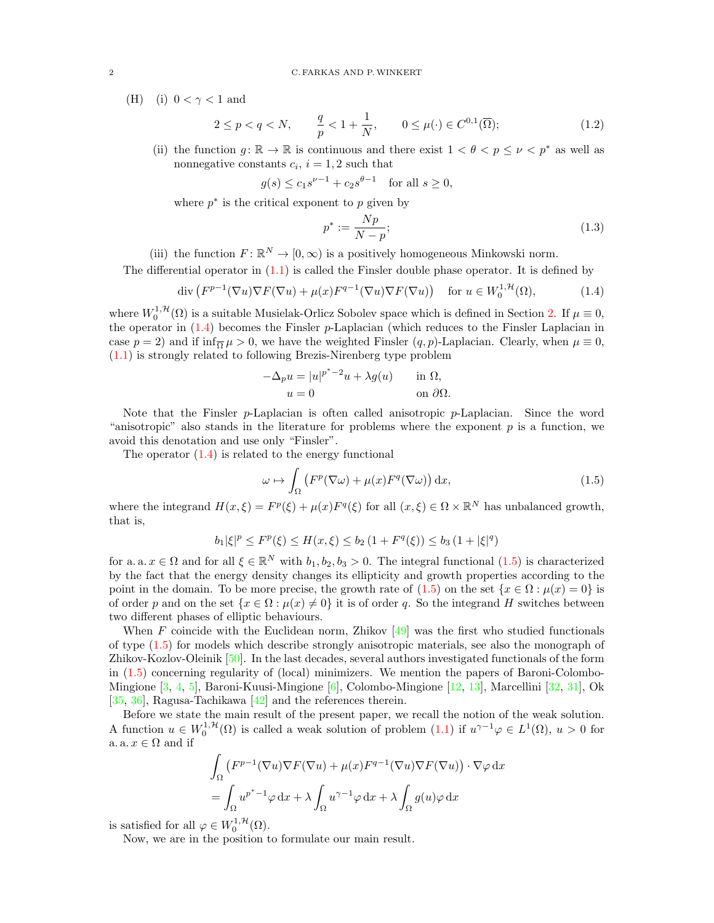(H) (i)  $0 < \gamma < 1$  and

$$
2 \le p < q < N, \qquad \frac{q}{p} < 1 + \frac{1}{N}, \qquad 0 \le \mu(\cdot) \in C^{0,1}(\overline{\Omega});\tag{1.2}
$$

(ii) the function  $g: \mathbb{R} \to \mathbb{R}$  is continuous and there exist  $1 < \theta < p \leq \nu < p^*$  as well as nonnegative constants  $c_i$ ,  $i = 1, 2$  such that

$$
g(s) \le c_1 s^{\nu - 1} + c_2 s^{\theta - 1}
$$
 for all  $s \ge 0$ ,

where  $p^*$  is the critical exponent to  $p$  given by

<span id="page-1-3"></span><span id="page-1-2"></span><span id="page-1-0"></span>
$$
p^* := \frac{Np}{N - p};\tag{1.3}
$$

(iii) the function  $F: \mathbb{R}^N \to [0, \infty)$  is a positively homogeneous Minkowski norm.

The differential operator in [\(1.1\)](#page-0-0) is called the Finsler double phase operator. It is defined by

$$
\operatorname{div}\left(F^{p-1}(\nabla u)\nabla F(\nabla u) + \mu(x)F^{q-1}(\nabla u)\nabla F(\nabla u)\right) \quad \text{for } u \in W_0^{1, \mathcal{H}}(\Omega),\tag{1.4}
$$

where  $W_0^{1,\mathcal{H}}(\Omega)$  is a suitable Musielak-Orlicz Sobolev space which is defined in Section [2.](#page-2-0) If  $\mu \equiv 0$ , the operator in  $(1.4)$  becomes the Finsler p-Laplacian (which reduces to the Finsler Laplacian in case  $p = 2$ ) and if  $\inf_{\overline{\Omega}} \mu > 0$ , we have the weighted Finsler  $(q, p)$ -Laplacian. Clearly, when  $\mu \equiv 0$ , [\(1.1\)](#page-0-0) is strongly related to following Brezis-Nirenberg type problem

$$
-\Delta_p u = |u|^{p^*-2}u + \lambda g(u) \quad \text{in } \Omega,
$$
  
 
$$
u = 0 \quad \text{on } \partial\Omega.
$$

Note that the Finsler  $p$ -Laplacian is often called anisotropic  $p$ -Laplacian. Since the word "anisotropic" also stands in the literature for problems where the exponent  $p$  is a function, we avoid this denotation and use only "Finsler".

The operator  $(1.4)$  is related to the energy functional

<span id="page-1-1"></span>
$$
\omega \mapsto \int_{\Omega} \left( F^p(\nabla \omega) + \mu(x) F^q(\nabla \omega) \right) dx, \tag{1.5}
$$

where the integrand  $H(x,\xi) = F^p(\xi) + \mu(x)F^q(\xi)$  for all  $(x,\xi) \in \Omega \times \mathbb{R}^N$  has unbalanced growth, that is,

$$
b_1|\xi|^p \le F^p(\xi) \le H(x,\xi) \le b_2 (1 + F^q(\xi)) \le b_3 (1 + |\xi|^q)
$$

for a. a.  $x \in \Omega$  and for all  $\xi \in \mathbb{R}^N$  with  $b_1, b_2, b_3 > 0$ . The integral functional  $(1.5)$  is characterized by the fact that the energy density changes its ellipticity and growth properties according to the point in the domain. To be more precise, the growth rate of [\(1.5\)](#page-1-1) on the set  $\{x \in \Omega : \mu(x) = 0\}$  is of order p and on the set  $\{x \in \Omega : \mu(x) \neq 0\}$  it is of order q. So the integrand H switches between two different phases of elliptic behaviours.

When F coincide with the Euclidean norm, Zhikov  $[49]$  was the first who studied functionals of type [\(1.5\)](#page-1-1) for models which describe strongly anisotropic materials, see also the monograph of Zhikov-Kozlov-Oleinik [\[50\]](#page-12-3). In the last decades, several authors investigated functionals of the form in [\(1.5\)](#page-1-1) concerning regularity of (local) minimizers. We mention the papers of Baroni-Colombo-Mingione [\[3,](#page-11-11) [4,](#page-11-12) [5\]](#page-11-13), Baroni-Kuusi-Mingione [\[6\]](#page-11-14), Colombo-Mingione [\[12,](#page-11-15) [13\]](#page-11-16), Marcellini [\[32,](#page-12-4) [31\]](#page-12-5), Ok [\[35,](#page-12-6) [36\]](#page-12-7), Ragusa-Tachikawa [\[42\]](#page-12-8) and the references therein.

Before we state the main result of the present paper, we recall the notion of the weak solution. A function  $u \in W_0^{1,\mathcal{H}}(\Omega)$  is called a weak solution of problem  $(1.1)$  if  $u^{\gamma-1}\varphi \in L^1(\Omega)$ ,  $u > 0$  for a. a.  $x \in \Omega$  and if

$$
\int_{\Omega} (F^{p-1}(\nabla u)\nabla F(\nabla u) + \mu(x)F^{q-1}(\nabla u)\nabla F(\nabla u)) \cdot \nabla \varphi \,dx
$$

$$
= \int_{\Omega} u^{p^* - 1} \varphi \,dx + \lambda \int_{\Omega} u^{\gamma - 1} \varphi \,dx + \lambda \int_{\Omega} g(u)\varphi \,dx
$$

is satisfied for all  $\varphi \in W_0^{1, \mathcal{H}}(\Omega)$ .

Now, we are in the position to formulate our main result.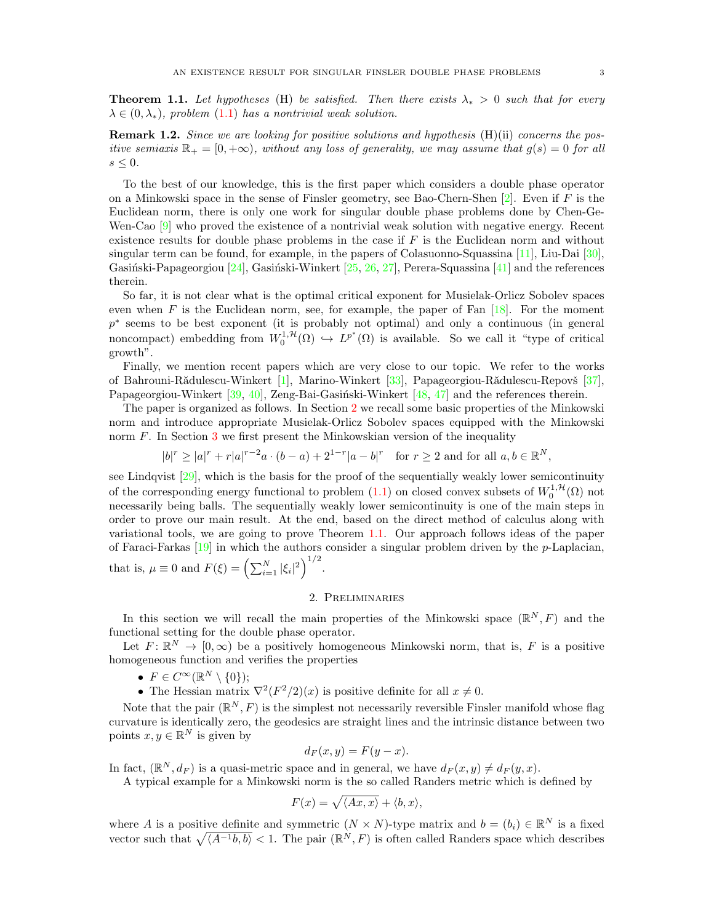<span id="page-2-1"></span>**Theorem 1.1.** Let hypotheses (H) be satisfied. Then there exists  $\lambda_* > 0$  such that for every  $\lambda \in (0, \lambda_*)$ , problem [\(1.1\)](#page-0-0) has a nontrivial weak solution.

**Remark 1.2.** Since we are looking for positive solutions and hypothesis  $(H)(ii)$  concerns the positive semiaxis  $\mathbb{R}_+ = [0, +\infty)$ , without any loss of generality, we may assume that  $g(s) = 0$  for all  $s \leq 0$ .

To the best of our knowledge, this is the first paper which considers a double phase operator on a Minkowski space in the sense of Finsler geometry, see Bao-Chern-Shen  $[2]$ . Even if F is the Euclidean norm, there is only one work for singular double phase problems done by Chen-Ge-Wen-Cao [\[9\]](#page-11-18) who proved the existence of a nontrivial weak solution with negative energy. Recent existence results for double phase problems in the case if  $F$  is the Euclidean norm and without singular term can be found, for example, in the papers of Colasuonno-Squassina [\[11\]](#page-11-19), Liu-Dai [\[30\]](#page-12-9), Gasiński-Papageorgiou  $[24]$ , Gasiński-Winkert  $[25, 26, 27]$  $[25, 26, 27]$  $[25, 26, 27]$  $[25, 26, 27]$  $[25, 26, 27]$ , Perera-Squassina  $[41]$  and the references therein.

So far, it is not clear what is the optimal critical exponent for Musielak-Orlicz Sobolev spaces even when F is the Euclidean norm, see, for example, the paper of Fan  $[18]$ . For the moment p<sup>\*</sup> seems to be best exponent (it is probably not optimal) and only a continuous (in general noncompact) embedding from  $W_0^{1,\mathcal{H}}(\Omega) \hookrightarrow L^{p^*}(\Omega)$  is available. So we call it "type of critical growth".

Finally, we mention recent papers which are very close to our topic. We refer to the works of Bahrouni-Rădulescu-Winkert [\[1\]](#page-11-25), Marino-Winkert [\[33\]](#page-12-11), Papageorgiou-Rădulescu-Repovš [\[37\]](#page-12-12), Papageorgiou-Winkert  $[39, 40]$  $[39, 40]$  $[39, 40]$ , Zeng-Bai-Gasiński-Winkert  $[48, 47]$  $[48, 47]$  $[48, 47]$  and the references therein.

The paper is organized as follows. In Section [2](#page-2-0) we recall some basic properties of the Minkowski norm and introduce appropriate Musielak-Orlicz Sobolev spaces equipped with the Minkowski norm  $F$ . In Section [3](#page-4-0) we first present the Minkowskian version of the inequality

 $|b|^r \geq |a|^r + |a|^{r-2}a \cdot (b-a) + 2^{1-r}|a-b|^r$  for  $r \geq 2$  and for all  $a, b \in \mathbb{R}^N$ ,

see Lindqvist [\[29\]](#page-12-17), which is the basis for the proof of the sequentially weakly lower semicontinuity of the corresponding energy functional to problem  $(1.1)$  on closed convex subsets of  $W_0^{1, H}(\Omega)$  not necessarily being balls. The sequentially weakly lower semicontinuity is one of the main steps in order to prove our main result. At the end, based on the direct method of calculus along with variational tools, we are going to prove Theorem [1.1.](#page-2-1) Our approach follows ideas of the paper of Faraci-Farkas [\[19\]](#page-11-26) in which the authors consider a singular problem driven by the p-Laplacian, that is,  $\mu \equiv 0$  and  $F(\xi) = \left(\sum_{i=1}^{N} |\xi_i|^2\right)^{1/2}$ .

# 2. Preliminaries

<span id="page-2-0"></span>In this section we will recall the main properties of the Minkowski space  $(\mathbb{R}^N, F)$  and the functional setting for the double phase operator.

Let  $F: \mathbb{R}^N \to [0, \infty)$  be a positively homogeneous Minkowski norm, that is, F is a positive homogeneous function and verifies the properties

- $F \in C^{\infty}(\mathbb{R}^N \setminus \{0\});$
- The Hessian matrix  $\nabla^2 (F^2/2)(x)$  is positive definite for all  $x \neq 0$ .

Note that the pair  $(\mathbb{R}^N, F)$  is the simplest not necessarily reversible Finsler manifold whose flag curvature is identically zero, the geodesics are straight lines and the intrinsic distance between two points  $x, y \in \mathbb{R}^N$  is given by

$$
d_F(x, y) = F(y - x).
$$

In fact,  $(\mathbb{R}^N, d_F)$  is a quasi-metric space and in general, we have  $d_F(x, y) \neq d_F(y, x)$ .

A typical example for a Minkowski norm is the so called Randers metric which is defined by

$$
F(x) = \sqrt{\langle Ax, x \rangle} + \langle b, x \rangle,
$$

where A is a positive definite and symmetric  $(N \times N)$ -type matrix and  $b = (b_i) \in \mathbb{R}^N$  is a fixed vector such that  $\sqrt{\langle A^{-1}b, b \rangle} < 1$ . The pair  $(\mathbb{R}^N, F)$  is often called Randers space which describes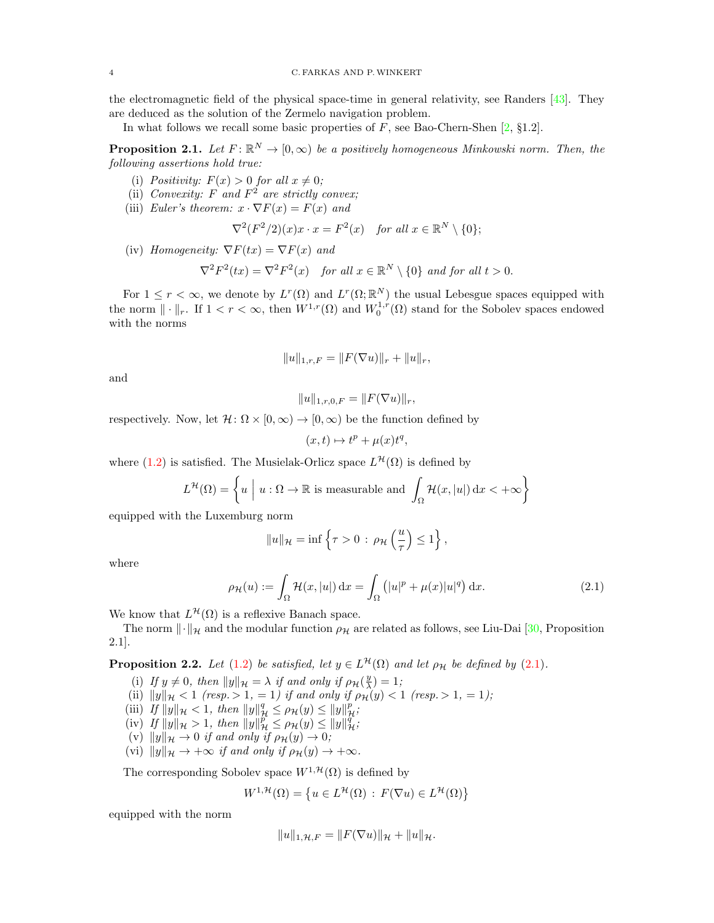the electromagnetic field of the physical space-time in general relativity, see Randers [\[43\]](#page-12-18). They are deduced as the solution of the Zermelo navigation problem.

In what follows we recall some basic properties of  $F$ , see Bao-Chern-Shen  $[2, §1.2]$  $[2, §1.2]$ .

<span id="page-3-2"></span>**Proposition 2.1.** Let  $F: \mathbb{R}^N \to [0, \infty)$  be a positively homogeneous Minkowski norm. Then, the following assertions hold true:

- (i) Positivity:  $F(x) > 0$  for all  $x \neq 0$ ;
- (ii) Convexity: F and  $F^2$  are strictly convex;
- (iii) Euler's theorem:  $x \cdot \nabla F(x) = F(x)$  and

$$
\nabla^2 (F^2/2)(x)x \cdot x = F^2(x) \quad \text{for all } x \in \mathbb{R}^N \setminus \{0\};
$$

(iv) Homogeneity:  $\nabla F(tx) = \nabla F(x)$  and

$$
\nabla^2 F^2(tx) = \nabla^2 F^2(x) \quad \text{for all } x \in \mathbb{R}^N \setminus \{0\} \text{ and for all } t > 0.
$$

For  $1 \leq r < \infty$ , we denote by  $L^r(\Omega)$  and  $L^r(\Omega;\mathbb{R}^N)$  the usual Lebesgue spaces equipped with the norm  $\|\cdot\|_r$ . If  $1 < r < \infty$ , then  $W^{1,r}(\Omega)$  and  $W_0^{1,r}(\Omega)$  stand for the Sobolev spaces endowed with the norms

$$
||u||_{1,r,F} = ||F(\nabla u)||_r + ||u||_r,
$$

and

$$
||u||_{1,r,0,F} = ||F(\nabla u)||_r,
$$

respectively. Now, let  $\mathcal{H} \colon \Omega \times [0, \infty) \to [0, \infty)$  be the function defined by

<span id="page-3-0"></span>
$$
(x,t)\mapsto t^p+\mu(x)t^q,
$$

where [\(1.2\)](#page-1-2) is satisfied. The Musielak-Orlicz space  $L^{\mathcal{H}}(\Omega)$  is defined by

$$
L^{\mathcal{H}}(\Omega) = \left\{ u \mid u : \Omega \to \mathbb{R} \text{ is measurable and } \int_{\Omega} \mathcal{H}(x, |u|) dx < +\infty \right\}
$$

equipped with the Luxemburg norm

$$
||u||_{\mathcal{H}} = \inf \left\{ \tau > 0 \, : \, \rho_{\mathcal{H}}\left(\frac{u}{\tau}\right) \leq 1 \right\},\,
$$

where

$$
\rho_{\mathcal{H}}(u) := \int_{\Omega} \mathcal{H}(x, |u|) dx = \int_{\Omega} (|u|^p + \mu(x)|u|^q) dx.
$$
 (2.1)

We know that  $L^{\mathcal{H}}(\Omega)$  is a reflexive Banach space.

The norm  $\|\cdot\|_{\mathcal{H}}$  and the modular function  $\rho_{\mathcal{H}}$  are related as follows, see Liu-Dai [\[30,](#page-12-9) Proposition 2.1].

<span id="page-3-1"></span>**Proposition 2.2.** Let [\(1.2\)](#page-1-2) be satisfied, let  $y \in L^{\mathcal{H}}(\Omega)$  and let  $\rho_{\mathcal{H}}$  be defined by [\(2.1\)](#page-3-0).

- (i) If  $y \neq 0$ , then  $||y||_{\mathcal{H}} = \lambda$  if and only if  $\rho_{\mathcal{H}}(\frac{y}{\lambda}) = 1$ ;
- (ii)  $||y||_{\mathcal{H}} < 1$  (resp.  $> 1, = 1$ ) if and only if  $\rho_{\mathcal{H}}(y) < 1$  (resp.  $> 1, = 1$ );
- (iii) If  $||y||_{\mathcal{H}} < 1$ , then  $||y||_{\mathcal{H}}^q \le \rho_{\mathcal{H}}(y) \le ||y||_{\mathcal{H}}^p$ ;
- (iv) If  $||y||_{\mathcal{H}} > 1$ , then  $||y||_{\mathcal{H}}^p \le \rho_{\mathcal{H}}(y) \le ||y||_{\mathcal{H}}^q$ ;
- (v)  $||y||_{\mathcal{H}} \to 0$  if and only if  $\rho_{\mathcal{H}}(y) \to 0$ ;
- (vi)  $||y||_{\mathcal{H}} \rightarrow +\infty$  if and only if  $\rho_{\mathcal{H}}(y) \rightarrow +\infty$ .

The corresponding Sobolev space  $W^{1, \mathcal{H}}(\Omega)$  is defined by

$$
W^{1,\mathcal{H}}(\Omega) = \left\{ u \in L^{\mathcal{H}}(\Omega) : F(\nabla u) \in L^{\mathcal{H}}(\Omega) \right\}
$$

equipped with the norm

$$
||u||_{1,\mathcal{H},F} = ||F(\nabla u)||_{\mathcal{H}} + ||u||_{\mathcal{H}}.
$$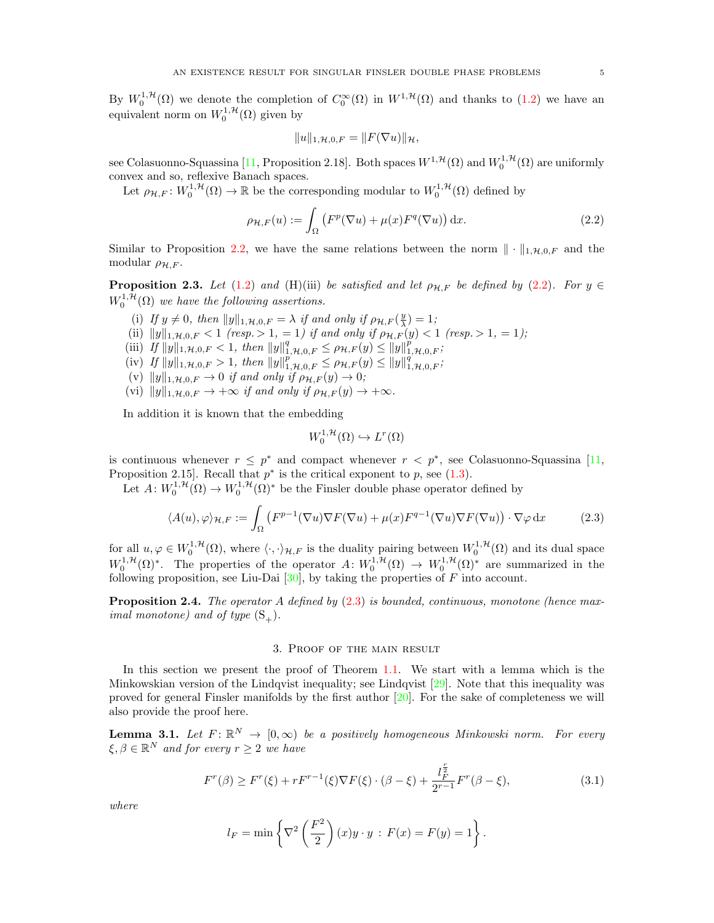By  $W_0^{1,\mathcal{H}}(\Omega)$  we denote the completion of  $C_0^{\infty}(\Omega)$  in  $W^{1,\mathcal{H}}(\Omega)$  and thanks to [\(1.2\)](#page-1-2) we have an equivalent norm on  $W_0^{1,\mathcal{H}}(\Omega)$  given by

<span id="page-4-1"></span>
$$
||u||_{1,\mathcal{H},0,F} = ||F(\nabla u)||_{\mathcal{H}},
$$

see Colasuonno-Squassina [\[11,](#page-11-19) Proposition 2.18]. Both spaces  $W^{1, \mathcal{H}}(\Omega)$  and  $W^{1, \mathcal{H}}_0(\Omega)$  are uniformly convex and so, reflexive Banach spaces.

Let  $\rho_{\mathcal{H},F}:W_0^{1,\mathcal{H}}(\Omega)\to\mathbb{R}$  be the corresponding modular to  $W_0^{1,\mathcal{H}}(\Omega)$  defined by

$$
\rho_{\mathcal{H},F}(u) := \int_{\Omega} \left( F^p(\nabla u) + \mu(x) F^q(\nabla u) \right) dx.
$$
 (2.2)

Similar to Proposition [2.2,](#page-3-1) we have the same relations between the norm  $\|\cdot\|_{1,\mathcal{H},0,F}$  and the modular  $\rho_{\mathcal{H},F}$ .

**Proposition 2.3.** Let [\(1.2\)](#page-1-2) and (H)(iii) be satisfied and let  $\rho_{\mathcal{H},F}$  be defined by [\(2.2\)](#page-4-1). For  $y \in$  $W_0^{1,\mathcal{H}}(\Omega)$  we have the following assertions.

- (i) If  $y \neq 0$ , then  $||y||_{1,\mathcal{H},0,F} = \lambda$  if and only if  $\rho_{\mathcal{H},F}(\frac{y}{\lambda}) = 1$ ;
- (ii)  $||y||_{1,\mathcal{H},0,F} < 1$  (resp. > 1, = 1) if and only if  $\rho_{\mathcal{H},F}(y) < 1$  (resp. > 1, = 1);
- (iii) If  $||y||_{1,\mathcal{H},0,F} < 1$ , then  $||y||_{1,\mathcal{H},0,F}^q \leq \rho_{\mathcal{H},F}(y) \leq ||y||_{1,\mathcal{H},0,F}^q$ ;
- (iv) If  $||y||_{1,\mathcal{H},0,F} > 1$ , then  $||y||_{1,\mathcal{H},0,F}^p \leq \rho_{\mathcal{H},F}(y) \leq ||y||_{1,\mathcal{H},0,F}^q$ ;
- (v)  $||y||_{1,\mathcal{H},0,F} \rightarrow 0$  if and only if  $\rho_{\mathcal{H},F}(y) \rightarrow 0;$
- (vi)  $||y||_{1,\mathcal{H},0,F} \rightarrow +\infty$  if and only if  $\rho_{\mathcal{H},F}(y) \rightarrow +\infty$ .

In addition it is known that the embedding

<span id="page-4-2"></span>
$$
W_0^{1,\mathcal{H}}(\Omega) \hookrightarrow L^r(\Omega)
$$

is continuous whenever  $r \leq p^*$  and compact whenever  $r \leq p^*$ , see Colasuonno-Squassina [\[11,](#page-11-19) Proposition 2.15. Recall that  $p^*$  is the critical exponent to p, see  $(1.3)$ .

Let  $A: W_0^{1, H}(\Omega) \to W_0^{1, H}(\Omega)^*$  be the Finsler double phase operator defined by

$$
\langle A(u), \varphi \rangle_{\mathcal{H}, F} := \int_{\Omega} \left( F^{p-1}(\nabla u) \nabla F(\nabla u) + \mu(x) F^{q-1}(\nabla u) \nabla F(\nabla u) \right) \cdot \nabla \varphi \, dx \tag{2.3}
$$

for all  $u, \varphi \in W_0^{1,\mathcal{H}}(\Omega)$ , where  $\langle \cdot, \cdot \rangle_{\mathcal{H},F}$  is the duality pairing between  $W_0^{1,\mathcal{H}}(\Omega)$  and its dual space  $W_0^{1,\mathcal{H}}(\Omega)^*$ . The properties of the operator  $A: W_0^{1,\mathcal{H}}(\Omega) \to W_0^{1,\mathcal{H}}(\Omega)^*$  are summarized in the following proposition, see Liu-Dai  $[30]$ , by taking the properties of F into account.

**Proposition 2.4.** The operator A defined by  $(2.3)$  is bounded, continuous, monotone (hence maximal monotone) and of type  $(S_+)$ .

### 3. Proof of the main result

<span id="page-4-0"></span>In this section we present the proof of Theorem [1.1.](#page-2-1) We start with a lemma which is the Minkowskian version of the Lindqvist inequality; see Lindqvist [\[29\]](#page-12-17). Note that this inequality was proved for general Finsler manifolds by the first author  $[20]$ . For the sake of completeness we will also provide the proof here.

**Lemma 3.1.** Let  $F: \mathbb{R}^N \to [0,\infty)$  be a positively homogeneous Minkowski norm. For every  $\xi, \beta \in \mathbb{R}^N$  and for every  $r \geq 2$  we have

<span id="page-4-3"></span>
$$
F^r(\beta) \ge F^r(\xi) + rF^{r-1}(\xi)\nabla F(\xi) \cdot (\beta - \xi) + \frac{l_F^{\frac{r}{2}}}{2^{r-1}}F^r(\beta - \xi),\tag{3.1}
$$

where

$$
l_F = \min\left\{\nabla^2 \left(\frac{F^2}{2}\right)(x)y \cdot y : F(x) = F(y) = 1\right\}.
$$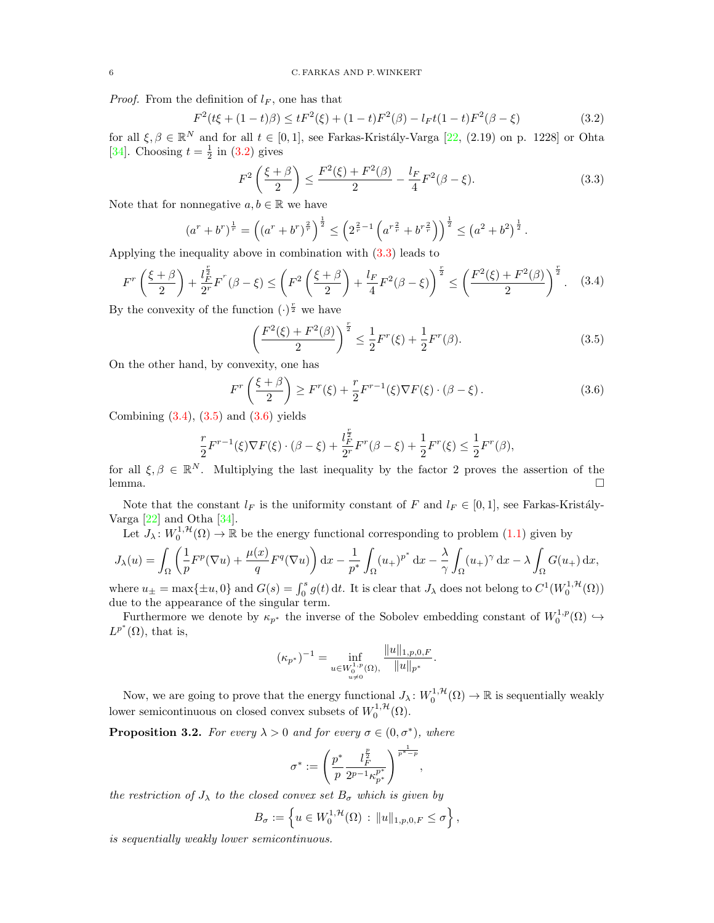*Proof.* From the definition of  $l_F$ , one has that

<span id="page-5-0"></span>
$$
F^{2}(t\xi + (1-t)\beta) \le tF^{2}(\xi) + (1-t)F^{2}(\beta) - l_{F}t(1-t)F^{2}(\beta - \xi)
$$
\n(3.2)

for all  $\xi, \beta \in \mathbb{R}^N$  and for all  $t \in [0, 1]$ , see Farkas-Kristály-Varga [\[22,](#page-11-9) (2.19) on p. 1228] or Ohta [\[34\]](#page-12-19). Choosing  $t = \frac{1}{2}$  in [\(3.2\)](#page-5-0) gives

<span id="page-5-1"></span>
$$
F^{2}\left(\frac{\xi+\beta}{2}\right) \le \frac{F^{2}(\xi) + F^{2}(\beta)}{2} - \frac{l_{F}}{4}F^{2}(\beta - \xi). \tag{3.3}
$$

Note that for nonnegative  $a, b \in \mathbb{R}$  we have

$$
(a^r + b^r)^{\frac{1}{r}} = \left( (a^r + b^r)^{\frac{2}{r}} \right)^{\frac{1}{2}} \le \left( 2^{\frac{2}{r} - 1} \left( a^{r \frac{2}{r}} + b^{r \frac{2}{r}} \right) \right)^{\frac{1}{2}} \le \left( a^2 + b^2 \right)^{\frac{1}{2}}.
$$

Applying the inequality above in combination with [\(3.3\)](#page-5-1) leads to

$$
F^r\left(\frac{\xi+\beta}{2}\right) + \frac{l_F^{\frac{r}{2}}}{2^r}F^r(\beta-\xi) \le \left(F^2\left(\frac{\xi+\beta}{2}\right) + \frac{l_F}{4}F^2(\beta-\xi)\right)^{\frac{r}{2}} \le \left(\frac{F^2(\xi) + F^2(\beta)}{2}\right)^{\frac{r}{2}}.\tag{3.4}
$$

By the convexity of the function  $(\cdot)^{\frac{r}{2}}$  we have

<span id="page-5-4"></span><span id="page-5-3"></span><span id="page-5-2"></span>
$$
\left(\frac{F^2(\xi) + F^2(\beta)}{2}\right)^{\frac{r}{2}} \le \frac{1}{2} F^r(\xi) + \frac{1}{2} F^r(\beta).
$$
\n(3.5)

On the other hand, by convexity, one has

$$
F^r\left(\frac{\xi+\beta}{2}\right) \ge F^r(\xi) + \frac{r}{2}F^{r-1}(\xi)\nabla F(\xi) \cdot (\beta-\xi). \tag{3.6}
$$

Combining  $(3.4)$ ,  $(3.5)$  and  $(3.6)$  yields

$$
\frac{r}{2}F^{r-1}(\xi)\nabla F(\xi)\cdot(\beta-\xi) + \frac{l_F^{\frac{r}{2}}}{2^r}F^r(\beta-\xi) + \frac{1}{2}F^r(\xi) \le \frac{1}{2}F^r(\beta),
$$

for all  $\xi, \beta \in \mathbb{R}^N$ . Multiplying the last inequality by the factor 2 proves the assertion of the lemma.

Note that the constant  $l_F$  is the uniformity constant of F and  $l_F \in [0,1]$ , see Farkas-Kristály-Varga  $[22]$  and Otha  $[34]$ .

Let  $J_{\lambda}: W_0^{1,\mathcal{H}}(\Omega) \to \mathbb{R}$  be the energy functional corresponding to problem  $(1.1)$  given by

$$
J_{\lambda}(u) = \int_{\Omega} \left( \frac{1}{p} F^{p}(\nabla u) + \frac{\mu(x)}{q} F^{q}(\nabla u) \right) dx - \frac{1}{p^{*}} \int_{\Omega} (u_{+})^{p^{*}} dx - \frac{\lambda}{\gamma} \int_{\Omega} (u_{+})^{\gamma} dx - \lambda \int_{\Omega} G(u_{+}) dx,
$$
where  $u_{+}$  are called  $U(u_{+})$  and  $G(u_{+})$ .

where  $u_{\pm} = \max\{\pm u, 0\}$  and  $G(s) = \int_0^s g(t) dt$ . It is clear that  $J_{\lambda}$  does not belong to  $C^1(W_0^{1, H}(\Omega))$ due to the appearance of the singular term.

Furthermore we denote by  $\kappa_{p^*}$  the inverse of the Sobolev embedding constant of  $W_0^{1,p}(\Omega) \hookrightarrow$  $L^{p^*}(\Omega)$ , that is,

$$
(\kappa_{p^*})^{-1} = \inf_{\substack{u \in W_0^{1,p}(\Omega), \\ u \neq 0}} \frac{\|u\|_{1,p,0,F}}{\|u\|_{p^*}}.
$$

Now, we are going to prove that the energy functional  $J_\lambda: W_0^{1,\mathcal{H}}(\Omega) \to \mathbb{R}$  is sequentially weakly lower semicontinuous on closed convex subsets of  $W_0^{1, \mathcal{H}}(\Omega)$ .

<span id="page-5-5"></span>**Proposition 3.2.** For every  $\lambda > 0$  and for every  $\sigma \in (0, \sigma^*)$ , where

$$
\sigma^*:=\left(\frac{p^*}{p}\frac{l_F^{\frac{p}{2}}}{2^{p-1}\kappa_p^{p^*}}\right)^{\frac{1}{p^*-p}},
$$

the restriction of  $J_{\lambda}$  to the closed convex set  $B_{\sigma}$  which is given by

$$
B_{\sigma} := \left\{ u \in W_0^{1, \mathcal{H}}(\Omega) : ||u||_{1, p, 0, F} \leq \sigma \right\},\
$$

is sequentially weakly lower semicontinuous.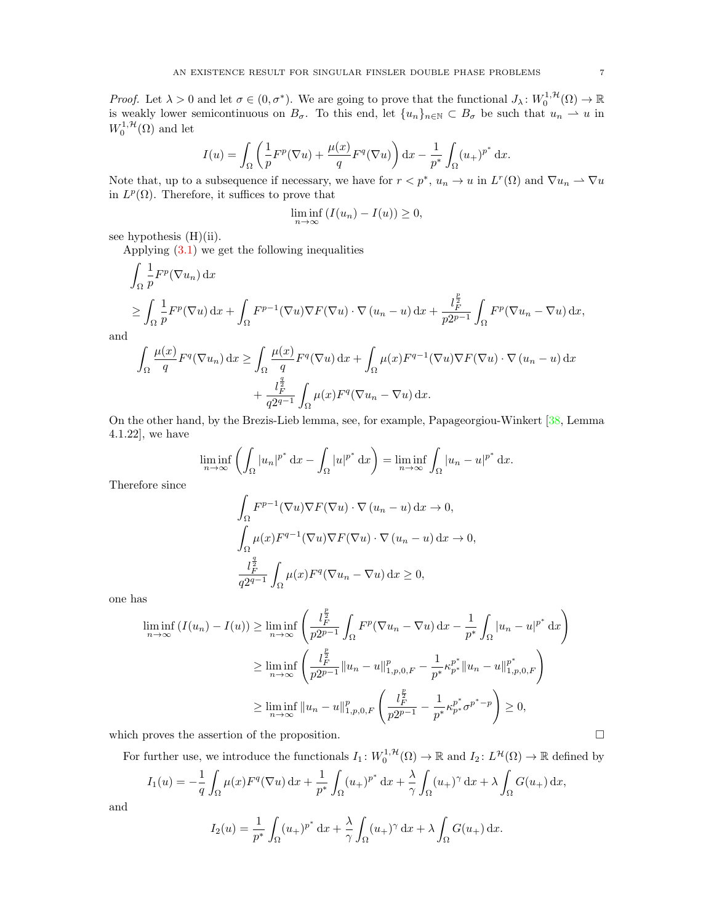*Proof.* Let  $\lambda > 0$  and let  $\sigma \in (0, \sigma^*)$ . We are going to prove that the functional  $J_{\lambda}: W_0^{1, H}(\Omega) \to \mathbb{R}$ is weakly lower semicontinuous on  $B_{\sigma}$ . To this end, let  $\{u_n\}_{n\in\mathbb{N}}\subset B_{\sigma}$  be such that  $u_n \rightharpoonup u$  in  $W_0^{1, \mathcal{H}}(\Omega)$  and let

$$
I(u) = \int_{\Omega} \left( \frac{1}{p} F^p(\nabla u) + \frac{\mu(x)}{q} F^q(\nabla u) \right) dx - \frac{1}{p^*} \int_{\Omega} (u_+)^{p^*} dx.
$$

Note that, up to a subsequence if necessary, we have for  $r < p^*$ ,  $u_n \to u$  in  $L^r(\Omega)$  and  $\nabla u_n \rightharpoonup \nabla u$ in  $L^p(\Omega)$ . Therefore, it suffices to prove that

$$
\liminf_{n \to \infty} (I(u_n) - I(u)) \ge 0,
$$

see hypothesis (H)(ii).

Applying [\(3.1\)](#page-4-3) we get the following inequalities

$$
\int_{\Omega} \frac{1}{p} F^p(\nabla u_n) \, dx
$$
\n
$$
\geq \int_{\Omega} \frac{1}{p} F^p(\nabla u) \, dx + \int_{\Omega} F^{p-1}(\nabla u) \nabla F(\nabla u) \cdot \nabla (u_n - u) \, dx + \frac{l_F^{\frac{p}{2}}}{p2^{p-1}} \int_{\Omega} F^p(\nabla u_n - \nabla u) \, dx,
$$

and

$$
\int_{\Omega} \frac{\mu(x)}{q} F^{q}(\nabla u_{n}) dx \ge \int_{\Omega} \frac{\mu(x)}{q} F^{q}(\nabla u) dx + \int_{\Omega} \mu(x) F^{q-1}(\nabla u) \nabla F(\nabla u) \cdot \nabla (u_{n} - u) dx + \frac{l_{F}^{\frac{q}{2}}}{q2^{q-1}} \int_{\Omega} \mu(x) F^{q}(\nabla u_{n} - \nabla u) dx.
$$

On the other hand, by the Brezis-Lieb lemma, see, for example, Papageorgiou-Winkert [\[38,](#page-12-20) Lemma 4.1.22], we have

$$
\liminf_{n \to \infty} \left( \int_{\Omega} |u_n|^{p^*} \, \mathrm{d}x - \int_{\Omega} |u|^{p^*} \, \mathrm{d}x \right) = \liminf_{n \to \infty} \int_{\Omega} |u_n - u|^{p^*} \, \mathrm{d}x.
$$

Therefore since

$$
\int_{\Omega} F^{p-1}(\nabla u) \nabla F(\nabla u) \cdot \nabla (u_n - u) dx \to 0,
$$
  

$$
\int_{\Omega} \mu(x) F^{q-1}(\nabla u) \nabla F(\nabla u) \cdot \nabla (u_n - u) dx \to 0,
$$
  

$$
\frac{l_F^{\frac{q}{2}}}{q2^{q-1}} \int_{\Omega} \mu(x) F^q(\nabla u_n - \nabla u) dx \ge 0,
$$

one has

$$
\liminf_{n \to \infty} (I(u_n) - I(u)) \ge \liminf_{n \to \infty} \left( \frac{l_F^{\frac{p}{2}}}{p2^{p-1}} \int_{\Omega} F^p (\nabla u_n - \nabla u) \, dx - \frac{1}{p^*} \int_{\Omega} |u_n - u|^{p^*} \, dx \right)
$$
\n
$$
\ge \liminf_{n \to \infty} \left( \frac{l_F^{\frac{p}{2}}}{p2^{p-1}} \|u_n - u\|_{1, p, 0, F}^p - \frac{1}{p^*} \kappa_{p^*}^{p^*} \|u_n - u\|_{1, p, 0, F}^{p^*} \right)
$$
\n
$$
\ge \liminf_{n \to \infty} \|u_n - u\|_{1, p, 0, F}^p \left( \frac{l_F^{\frac{p}{2}}}{p2^{p-1}} - \frac{1}{p^*} \kappa_{p^*}^{p^*} \sigma^{p^* - p} \right) \ge 0,
$$

which proves the assertion of the proposition.  $\Box$ 

For further use, we introduce the functionals  $I_1: W_0^{1,\mathcal{H}}(\Omega) \to \mathbb{R}$  and  $I_2: L^{\mathcal{H}}(\Omega) \to \mathbb{R}$  defined by

$$
I_1(u) = -\frac{1}{q} \int_{\Omega} \mu(x) F^q(\nabla u) dx + \frac{1}{p^*} \int_{\Omega} (u_+)^{p^*} dx + \frac{\lambda}{\gamma} \int_{\Omega} (u_+)^{\gamma} dx + \lambda \int_{\Omega} G(u_+) dx,
$$

and

$$
I_2(u) = \frac{1}{p^*} \int_{\Omega} (u_+)^{p^*} dx + \frac{\lambda}{\gamma} \int_{\Omega} (u_+)^{\gamma} dx + \lambda \int_{\Omega} G(u_+) dx.
$$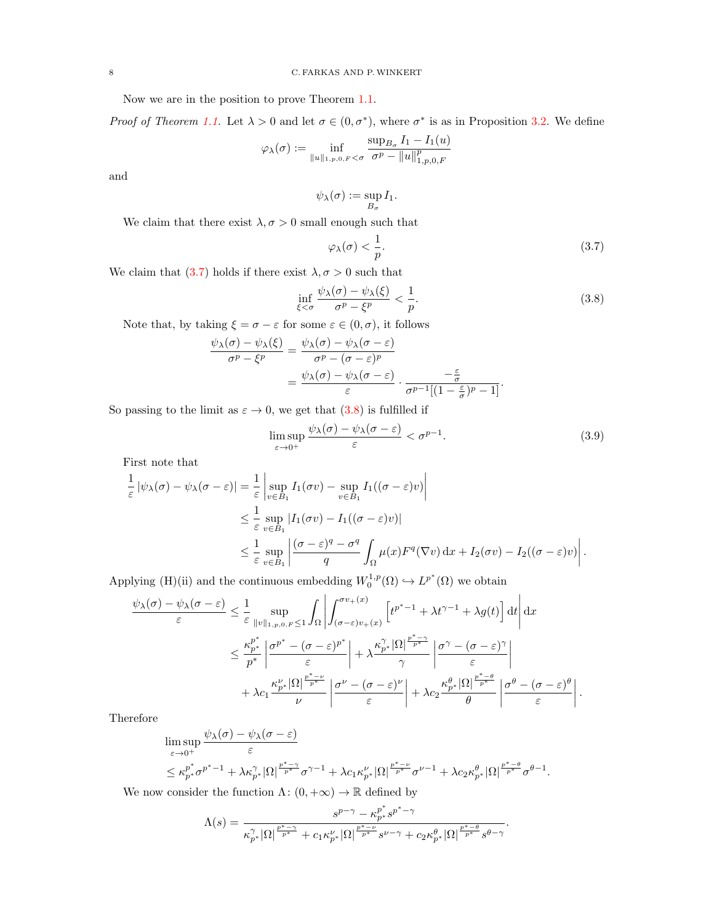Now we are in the position to prove Theorem [1.1.](#page-2-1)

Proof of Theorem [1.1.](#page-2-1) Let  $\lambda > 0$  and let  $\sigma \in (0, \sigma^*)$ , where  $\sigma^*$  is as in Proposition [3.2.](#page-5-5) We define

$$
\varphi_{\lambda}(\sigma) := \inf_{\|u\|_{1,p,0,F} < \sigma} \frac{\sup_{B_{\sigma}} I_1 - I_1(u)}{\sigma^p - \|u\|_{1,p,0,F}^p}
$$

and

$$
\psi_{\lambda}(\sigma) := \sup_{B_{\sigma}} I_1.
$$

We claim that there exist  $\lambda, \sigma > 0$  small enough such that

<span id="page-7-0"></span>
$$
\varphi_{\lambda}(\sigma) < \frac{1}{p}.\tag{3.7}
$$

We claim that [\(3.7\)](#page-7-0) holds if there exist  $\lambda, \sigma > 0$  such that

<span id="page-7-1"></span>
$$
\inf_{\xi < \sigma} \frac{\psi_{\lambda}(\sigma) - \psi_{\lambda}(\xi)}{\sigma^p - \xi^p} < \frac{1}{p}.\tag{3.8}
$$

Note that, by taking  $\xi = \sigma - \varepsilon$  for some  $\varepsilon \in (0, \sigma)$ , it follows

$$
\frac{\psi_{\lambda}(\sigma) - \psi_{\lambda}(\xi)}{\sigma^p - \xi^p} = \frac{\psi_{\lambda}(\sigma) - \psi_{\lambda}(\sigma - \varepsilon)}{\sigma^p - (\sigma - \varepsilon)^p}
$$

$$
= \frac{\psi_{\lambda}(\sigma) - \psi_{\lambda}(\sigma - \varepsilon)}{\varepsilon} \cdot \frac{-\frac{\varepsilon}{\sigma}}{\sigma^{p-1}[(1 - \frac{\varepsilon}{\sigma})^p - 1]}.
$$

So passing to the limit as  $\varepsilon \to 0$ , we get that  $(3.8)$  is fulfilled if

<span id="page-7-2"></span>
$$
\limsup_{\varepsilon \to 0^+} \frac{\psi_\lambda(\sigma) - \psi_\lambda(\sigma - \varepsilon)}{\varepsilon} < \sigma^{p-1}.\tag{3.9}
$$

First note that

$$
\frac{1}{\varepsilon} |\psi_{\lambda}(\sigma) - \psi_{\lambda}(\sigma - \varepsilon)| = \frac{1}{\varepsilon} \left| \sup_{v \in B_1} I_1(\sigma v) - \sup_{v \in B_1} I_1((\sigma - \varepsilon)v) \right|
$$
  
\n
$$
\leq \frac{1}{\varepsilon} \sup_{v \in B_1} |I_1(\sigma v) - I_1((\sigma - \varepsilon)v)|
$$
  
\n
$$
\leq \frac{1}{\varepsilon} \sup_{v \in B_1} \left| \frac{(\sigma - \varepsilon)^q - \sigma^q}{q} \int_{\Omega} \mu(x) F^q(\nabla v) \, dx + I_2(\sigma v) - I_2((\sigma - \varepsilon)v) \right|.
$$

Applying (H)(ii) and the continuous embedding  $W_0^{1,p}(\Omega) \hookrightarrow L^{p^*}(\Omega)$  we obtain

$$
\frac{\psi_{\lambda}(\sigma) - \psi_{\lambda}(\sigma - \varepsilon)}{\varepsilon} \leq \frac{1}{\varepsilon} \sup_{\|v\|_{1, p, 0, F} \leq 1} \int_{\Omega} \left| \int_{(\sigma - \varepsilon)v_{+}(x)}^{\sigma v_{+}(x)} \left[ t^{p^{*} - 1} + \lambda t^{\gamma - 1} + \lambda g(t) \right] dt \right| dx
$$

$$
\leq \frac{\kappa_{p^{*}}^{p^{*}}}{p^{*}} \left| \frac{\sigma^{p^{*}} - (\sigma - \varepsilon)^{p^{*}}}{\varepsilon} \right| + \lambda \frac{\kappa_{p^{*}}^{N} |\Omega|^{\frac{p^{*} - \gamma}{p^{*}}} }{\gamma} \left| \frac{\sigma^{\gamma} - (\sigma - \varepsilon)^{\gamma}}{\varepsilon} \right|
$$

$$
+ \lambda c_{1} \frac{\kappa_{p^{*}}^{N} |\Omega|^{\frac{p^{*} - \nu}{p^{*}}} }{\nu} \left| \frac{\sigma^{\nu} - (\sigma - \varepsilon)^{\nu}}{\varepsilon} \right| + \lambda c_{2} \frac{\kappa_{p^{*}}^{\theta} |\Omega|^{\frac{p^{*} - \theta}{p^{*}}} }{\theta} \left| \frac{\sigma^{\theta} - (\sigma - \varepsilon)^{\theta}}{\varepsilon} \right|.
$$

Therefore

$$
\limsup_{\varepsilon \to 0^+} \frac{\psi_{\lambda}(\sigma) - \psi_{\lambda}(\sigma - \varepsilon)}{\varepsilon} \leq \kappa_{p^*}^{p^*} \sigma^{p^* - 1} + \lambda \kappa_{p^*}^{\gamma} |\Omega|^{\frac{p^* - \gamma}{p^*}} \sigma^{\gamma - 1} + \lambda c_1 \kappa_{p^*}^{\nu} |\Omega|^{\frac{p^* - \nu}{p^*}} \sigma^{\nu - 1} + \lambda c_2 \kappa_{p^*}^{\theta} |\Omega|^{\frac{p^* - \theta}{p^*}} \sigma^{\theta - 1}.
$$

We now consider the function  $\Lambda: (0, +\infty) \to \mathbb{R}$  defined by

$$
\Lambda(s)=\frac{s^{p-\gamma}-\kappa_{p^*}^{p^*} s^{p^*-\gamma}}{\kappa_{p^*}^{\gamma}|\Omega|^{\frac{p^*-\gamma}{p^*}}+c_1\kappa_{p^*}^{\nu}|\Omega|^{\frac{p^*-\nu}{p^*}}s^{\nu-\gamma}+c_2\kappa_{p^*}^{\theta}|\Omega|^{\frac{p^*-\theta}{p^*}}s^{\theta-\gamma}}.
$$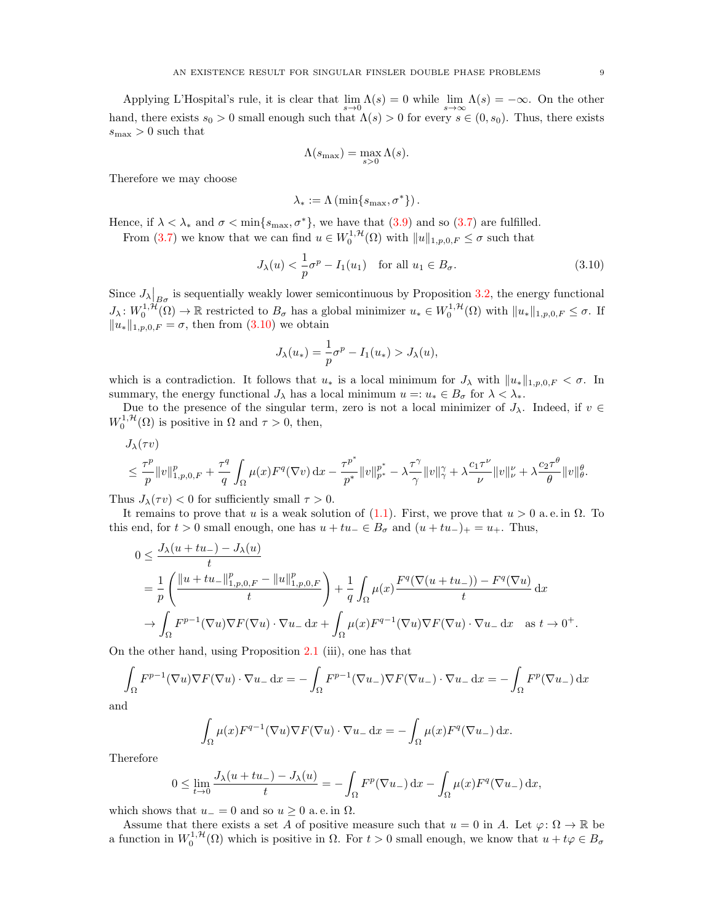Applying L'Hospital's rule, it is clear that  $\lim_{s\to 0} \Lambda(s) = 0$  while  $\lim_{s\to \infty} \Lambda(s) = -\infty$ . On the other hand, there exists  $s_0 > 0$  small enough such that  $\Lambda(s) > 0$  for every  $s \in (0, s_0)$ . Thus, there exists  $s_{\text{max}} > 0$  such that

$$
\Lambda(s_{\max}) = \max_{s>0} \Lambda(s).
$$

Therefore we may choose

<span id="page-8-0"></span>
$$
\lambda_* := \Lambda\left(\min\{s_{\max}, \sigma^*\}\right).
$$

Hence, if  $\lambda < \lambda_*$  and  $\sigma < \min\{s_{\max}, \sigma^*\}$ , we have that  $(3.9)$  and so  $(3.7)$  are fulfilled.

From [\(3.7\)](#page-7-0) we know that we can find  $u \in W_0^{1,\mathcal{H}}(\Omega)$  with  $||u||_{1,p,0,F} \leq \sigma$  such that

$$
J_{\lambda}(u) < \frac{1}{p}\sigma^p - I_1(u_1) \quad \text{for all } u_1 \in B_{\sigma}.\tag{3.10}
$$

Since  $J_{\lambda}|_{B_{\sigma}}$  is sequentially weakly lower semicontinuous by Proposition [3.2,](#page-5-5) the energy functional  $J_{\lambda}: W_0^{1,\mathcal{H}}(\Omega) \to \mathbb{R}$  restricted to  $B_{\sigma}$  has a global minimizer  $u_* \in W_0^{1,\mathcal{H}}(\Omega)$  with  $||u_*||_{1,p,0,F} \leq \sigma$ . If  $||u_*||_{1,p,0,F} = \sigma$ , then from [\(3.10\)](#page-8-0) we obtain

$$
J_{\lambda}(u_{*}) = \frac{1}{p}\sigma^{p} - I_{1}(u_{*}) > J_{\lambda}(u),
$$

which is a contradiction. It follows that  $u_*$  is a local minimum for  $J_\lambda$  with  $||u_*||_{1,p,0,F} < \sigma$ . In summary, the energy functional  $J_\lambda$  has a local minimum  $u =: u_* \in B_\sigma$  for  $\lambda < \lambda_*$ .

Due to the presence of the singular term, zero is not a local minimizer of  $J_\lambda$ . Indeed, if  $v \in$  $W_0^{1,\mathcal{H}}(\Omega)$  is positive in  $\Omega$  and  $\tau > 0$ , then,

$$
\begin{aligned} &J_{\lambda}(\tau v)\\&\leq \frac{\tau^p}{p}\|v\|_{1,p,0,F}^p+\frac{\tau^q}{q}\int_{\Omega}\mu(x)F^q(\nabla v)\,\mathrm{d}x-\frac{\tau^{p^*}}{p^*}\|v\|_{p^*}^{p^*}-\lambda\frac{\tau^{\gamma}}{\gamma}\|v\|_{\gamma}^{\gamma}+\lambda\frac{c_1\tau^{\nu}}{\nu}\|v\|_{\nu}^{\nu}+\lambda\frac{c_2\tau^{\theta}}{\theta}\|v\|_{\theta}^{\theta}. \end{aligned}
$$

Thus  $J_{\lambda}(\tau v) < 0$  for sufficiently small  $\tau > 0$ .

It remains to prove that u is a weak solution of [\(1.1\)](#page-0-0). First, we prove that  $u > 0$  a.e. in  $\Omega$ . To this end, for  $t > 0$  small enough, one has  $u + tu \in B_{\sigma}$  and  $(u + tu_{-})_{+} = u_{+}$ . Thus,

$$
0 \leq \frac{J_{\lambda}(u+tu_{-}) - J_{\lambda}(u)}{t}
$$
  
=  $\frac{1}{p} \left( \frac{\|u+tu_{-}\|_{1,p,0,F}^{p} - \|u\|_{1,p,0,F}^{p}}{t} \right) + \frac{1}{q} \int_{\Omega} \mu(x) \frac{F^{q}(\nabla(u+tu_{-})) - F^{q}(\nabla u)}{t} dx$   
 $\rightarrow \int_{\Omega} F^{p-1}(\nabla u) \nabla F(\nabla u) \cdot \nabla u_{-} dx + \int_{\Omega} \mu(x) F^{q-1}(\nabla u) \nabla F(\nabla u) \cdot \nabla u_{-} dx \text{ as } t \to 0^{+}.$ 

On the other hand, using Proposition [2.1](#page-3-2) (iii), one has that

$$
\int_{\Omega} F^{p-1}(\nabla u) \nabla F(\nabla u) \cdot \nabla u_{-} dx = -\int_{\Omega} F^{p-1}(\nabla u_{-}) \nabla F(\nabla u_{-}) \cdot \nabla u_{-} dx = -\int_{\Omega} F^{p}(\nabla u_{-}) dx
$$

and

$$
\int_{\Omega} \mu(x) F^{q-1}(\nabla u) \nabla F(\nabla u) \cdot \nabla u_{-} \, dx = - \int_{\Omega} \mu(x) F^{q}(\nabla u_{-}) \, dx.
$$

Therefore

$$
0 \le \lim_{t \to 0} \frac{J_{\lambda}(u + tu_{-}) - J_{\lambda}(u)}{t} = -\int_{\Omega} F^{p}(\nabla u_{-}) dx - \int_{\Omega} \mu(x) F^{q}(\nabla u_{-}) dx,
$$

which shows that  $u_0 = 0$  and so  $u \geq 0$  a.e. in  $\Omega$ .

Assume that there exists a set A of positive measure such that  $u = 0$  in A. Let  $\varphi \colon \Omega \to \mathbb{R}$  be a function in  $W_0^{1,\mathcal{H}}(\Omega)$  which is positive in  $\Omega$ . For  $t > 0$  small enough, we know that  $u + t\varphi \in B_\sigma$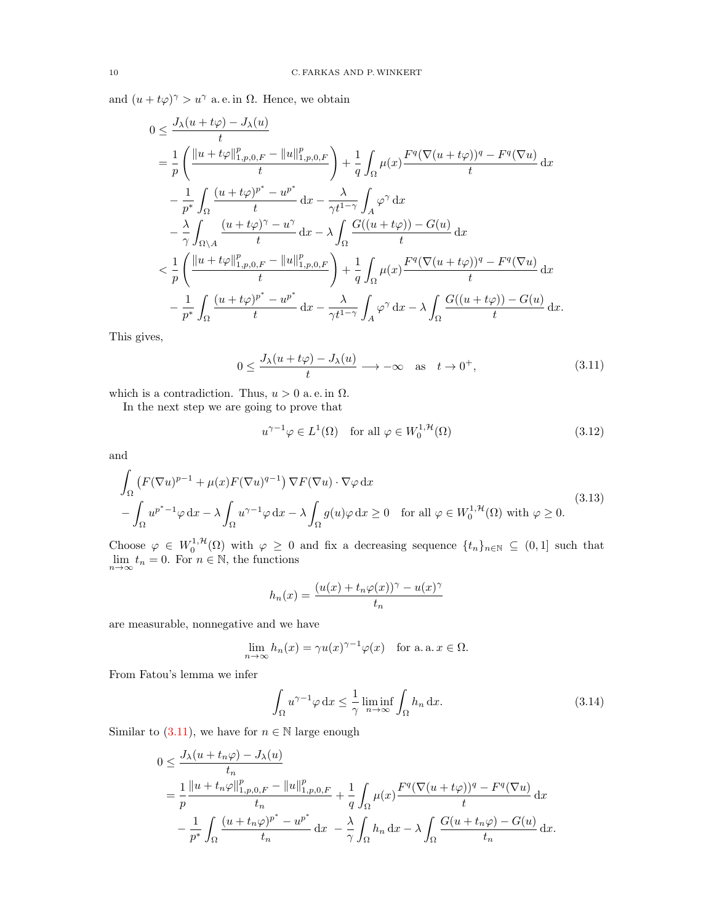and  $(u + t\varphi)^{\gamma} > u^{\gamma}$  a.e. in  $\Omega$ . Hence, we obtain

$$
0 \leq \frac{J_{\lambda}(u+t\varphi) - J_{\lambda}(u)}{t}
$$
  
\n
$$
= \frac{1}{p} \left( \frac{\|u+t\varphi\|_{1,p,0,F}^{p}}{t} - \|u\|_{1,p,0,F}^{p}}{t} \right) + \frac{1}{q} \int_{\Omega} \mu(x) \frac{F^{q}(\nabla(u+t\varphi))^{q} - F^{q}(\nabla u)}{t} dx
$$
  
\n
$$
- \frac{1}{p^{*}} \int_{\Omega} \frac{(u+t\varphi)^{p^{*}} - u^{p^{*}}}{t} dx - \frac{\lambda}{\gamma t^{1-\gamma}} \int_{A} \varphi^{\gamma} dx
$$
  
\n
$$
- \frac{\lambda}{\gamma} \int_{\Omega \setminus A} \frac{(u+t\varphi)^{\gamma} - u^{\gamma}}{t} dx - \lambda \int_{\Omega} \frac{G((u+t\varphi)) - G(u)}{t} dx
$$
  
\n
$$
< \frac{1}{p} \left( \frac{\|u+t\varphi\|_{1,p,0,F}^{p} - \|u\|_{1,p,0,F}^{p}}{t} \right) + \frac{1}{q} \int_{\Omega} \mu(x) \frac{F^{q}(\nabla(u+t\varphi))^{q} - F^{q}(\nabla u)}{t} dx
$$
  
\n
$$
- \frac{1}{p^{*}} \int_{\Omega} \frac{(u+t\varphi)^{p^{*}} - u^{p^{*}}}{t} dx - \frac{\lambda}{\gamma t^{1-\gamma}} \int_{A} \varphi^{\gamma} dx - \lambda \int_{\Omega} \frac{G((u+t\varphi)) - G(u)}{t} dx.
$$

This gives,

$$
0 \le \frac{J_{\lambda}(u+t\varphi) - J_{\lambda}(u)}{t} \longrightarrow -\infty \quad \text{as} \quad t \to 0^{+}, \tag{3.11}
$$

which is a contradiction. Thus,  $u > 0$  a.e. in  $\Omega$ .

In the next step we are going to prove that

<span id="page-9-2"></span><span id="page-9-0"></span>
$$
u^{\gamma - 1} \varphi \in L^1(\Omega) \quad \text{for all } \varphi \in W_0^{1, \mathcal{H}}(\Omega)
$$
\n
$$
(3.12)
$$

and

$$
\int_{\Omega} \left( F(\nabla u)^{p-1} + \mu(x) F(\nabla u)^{q-1} \right) \nabla F(\nabla u) \cdot \nabla \varphi \, dx
$$
\n
$$
- \int_{\Omega} u^{p^* - 1} \varphi \, dx - \lambda \int_{\Omega} u^{\gamma - 1} \varphi \, dx - \lambda \int_{\Omega} g(u) \varphi \, dx \ge 0 \quad \text{for all } \varphi \in W_0^{1, \mathcal{H}}(\Omega) \text{ with } \varphi \ge 0.
$$
\n(3.13)

Choose  $\varphi \in W_0^{1,\mathcal{H}}(\Omega)$  with  $\varphi \geq 0$  and fix a decreasing sequence  $\{t_n\}_{n\in\mathbb{N}} \subseteq (0,1]$  such that  $\lim_{n\to\infty} t_n = 0.$  For  $n \in \mathbb{N}$ , the functions

<span id="page-9-3"></span>
$$
h_n(x) = \frac{(u(x) + t_n \varphi(x))^\gamma - u(x)^\gamma}{t_n}
$$

are measurable, nonnegative and we have

$$
\lim_{n \to \infty} h_n(x) = \gamma u(x)^{\gamma - 1} \varphi(x) \quad \text{for a. a. } x \in \Omega.
$$

From Fatou's lemma we infer

<span id="page-9-1"></span>
$$
\int_{\Omega} u^{\gamma - 1} \varphi \, \mathrm{d}x \le \frac{1}{\gamma} \liminf_{n \to \infty} \int_{\Omega} h_n \, \mathrm{d}x. \tag{3.14}
$$

Similar to  $(3.11)$ , we have for  $n \in \mathbb{N}$  large enough

$$
0 \leq \frac{J_{\lambda}(u+t_n\varphi) - J_{\lambda}(u)}{t_n}
$$
  
= 
$$
\frac{1}{p} \frac{\|u+t_n\varphi\|_{1,p,0,F}^p - \|u\|_{1,p,0,F}^p}{t_n} + \frac{1}{q} \int_{\Omega} \mu(x) \frac{F^q(\nabla(u+t\varphi))^q - F^q(\nabla u)}{t} dx
$$
  

$$
- \frac{1}{p^*} \int_{\Omega} \frac{(u+t_n\varphi)^{p^*} - u^{p^*}}{t_n} dx - \frac{\lambda}{\gamma} \int_{\Omega} h_n dx - \lambda \int_{\Omega} \frac{G(u+t_n\varphi) - G(u)}{t_n} dx.
$$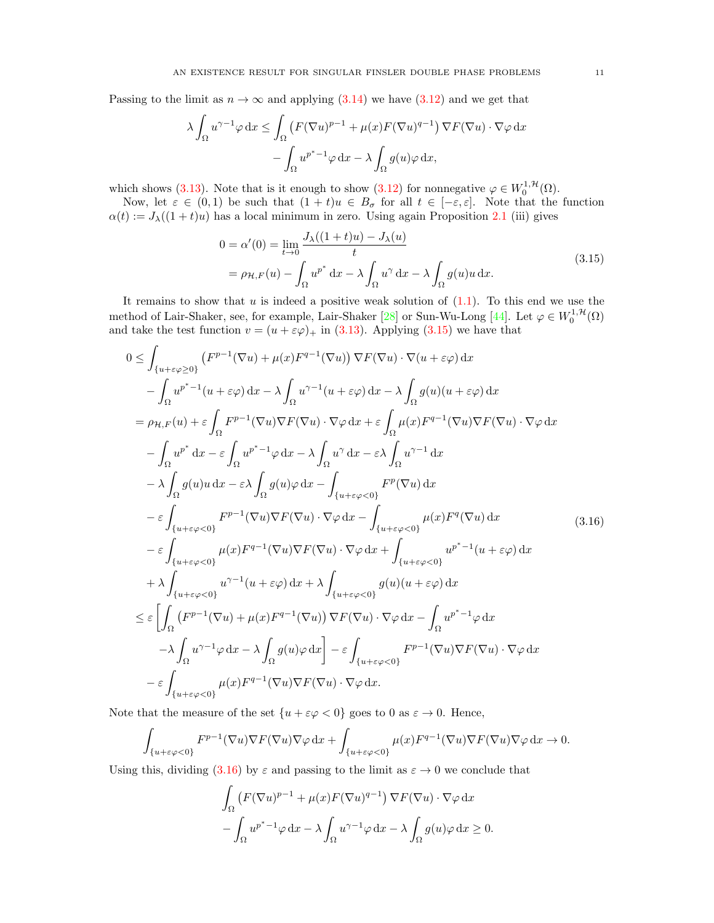Passing to the limit as  $n \to \infty$  and applying [\(3.14\)](#page-9-1) we have [\(3.12\)](#page-9-2) and we get that

$$
\lambda \int_{\Omega} u^{\gamma - 1} \varphi \, dx \le \int_{\Omega} \left( F(\nabla u)^{p-1} + \mu(x) F(\nabla u)^{q-1} \right) \nabla F(\nabla u) \cdot \nabla \varphi \, dx
$$

$$
- \int_{\Omega} u^{p^* - 1} \varphi \, dx - \lambda \int_{\Omega} g(u) \varphi \, dx,
$$

which shows [\(3.13\)](#page-9-3). Note that is it enough to show [\(3.12\)](#page-9-2) for nonnegative  $\varphi \in W_0^{1, \mathcal{H}}(\Omega)$ .

Now, let  $\varepsilon \in (0,1)$  be such that  $(1 + t)u \in B_{\sigma}$  for all  $t \in [-\varepsilon, \varepsilon]$ . Note that the function  $\alpha(t) := J_{\lambda}((1+t)u)$  has a local minimum in zero. Using again Proposition [2.1](#page-3-2) (iii) gives

<span id="page-10-1"></span><span id="page-10-0"></span>
$$
0 = \alpha'(0) = \lim_{t \to 0} \frac{J_{\lambda}((1+t)u) - J_{\lambda}(u)}{t}
$$
  
=  $\rho_{\mathcal{H},F}(u) - \int_{\Omega} u^{p^*} dx - \lambda \int_{\Omega} u^{\gamma} dx - \lambda \int_{\Omega} g(u)u dx.$  (3.15)

It remains to show that  $u$  is indeed a positive weak solution of  $(1.1)$ . To this end we use the method of Lair-Shaker, see, for example, Lair-Shaker [\[28\]](#page-11-27) or Sun-Wu-Long [\[44\]](#page-12-21). Let  $\varphi \in W_0^{1, \mathcal{H}}(\Omega)$ and take the test function  $v = (u + \varepsilon \varphi)_+$  in [\(3.13\)](#page-9-3). Applying [\(3.15\)](#page-10-0) we have that

$$
0 \leq \int_{\{u+\varepsilon\varphi\geq 0\}} (F^{p-1}(\nabla u) + \mu(x)F^{q-1}(\nabla u)) \nabla F(\nabla u) \cdot \nabla (u+\varepsilon\varphi) dx
$$
  
\n
$$
- \int_{\Omega} u^{p^*-1}(u+\varepsilon\varphi) dx - \lambda \int_{\Omega} u^{\gamma-1}(u+\varepsilon\varphi) dx - \lambda \int_{\Omega} g(u)(u+\varepsilon\varphi) dx
$$
  
\n
$$
= \rho_{\mathcal{H},F}(u) + \varepsilon \int_{\Omega} F^{p-1}(\nabla u)\nabla F(\nabla u) \cdot \nabla \varphi dx + \varepsilon \int_{\Omega} \mu(x)F^{q-1}(\nabla u)\nabla F(\nabla u) \cdot \nabla \varphi dx
$$
  
\n
$$
- \int_{\Omega} u^{p^*} dx - \varepsilon \int_{\Omega} u^{p^*-1}\varphi dx - \lambda \int_{\Omega} u^{\gamma} dx - \varepsilon \lambda \int_{\Omega} u^{\gamma-1} dx
$$
  
\n
$$
- \lambda \int_{\Omega} g(u)u dx - \varepsilon \lambda \int_{\Omega} g(u)\varphi dx - \int_{\{u+\varepsilon\varphi<0\}} F^{p}(\nabla u) dx
$$
  
\n
$$
- \varepsilon \int_{\{u+\varepsilon\varphi<0\}} F^{p-1}(\nabla u)\nabla F(\nabla u) \cdot \nabla \varphi dx - \int_{\{u+\varepsilon\varphi<0\}} \mu(x)F^{q}(\nabla u) dx
$$
  
\n
$$
- \varepsilon \int_{\{u+\varepsilon\varphi<0\}} \mu(x)F^{q-1}(\nabla u)\nabla F(\nabla u) \cdot \nabla \varphi dx + \int_{\{u+\varepsilon\varphi<0\}} u^{p^*-1}(u+\varepsilon\varphi) dx
$$
  
\n
$$
+ \lambda \int_{\{u+\varepsilon\varphi<0\}} u^{\gamma-1}(u+\varepsilon\varphi) dx + \lambda \int_{\{u+\varepsilon\varphi<0\}} g(u)(u+\varepsilon\varphi) dx
$$
  
\n
$$
\leq \varepsilon \left[ \int_{\Omega} (F^{p
$$

Note that the measure of the set  $\{u + \varepsilon \varphi < 0\}$  goes to 0 as  $\varepsilon \to 0$ . Hence,

$$
\int_{\{u+\varepsilon\varphi<0\}} F^{p-1}(\nabla u)\nabla F(\nabla u)\nabla\varphi \,dx + \int_{\{u+\varepsilon\varphi<0\}} \mu(x)F^{q-1}(\nabla u)\nabla F(\nabla u)\nabla\varphi \,dx \to 0.
$$

Using this, dividing [\(3.16\)](#page-10-1) by  $\varepsilon$  and passing to the limit as  $\varepsilon \to 0$  we conclude that

$$
\int_{\Omega} \left( F(\nabla u)^{p-1} + \mu(x) F(\nabla u)^{q-1} \right) \nabla F(\nabla u) \cdot \nabla \varphi \, dx
$$

$$
- \int_{\Omega} u^{p^* - 1} \varphi \, dx - \lambda \int_{\Omega} u^{\gamma - 1} \varphi \, dx - \lambda \int_{\Omega} g(u) \varphi \, dx \ge 0.
$$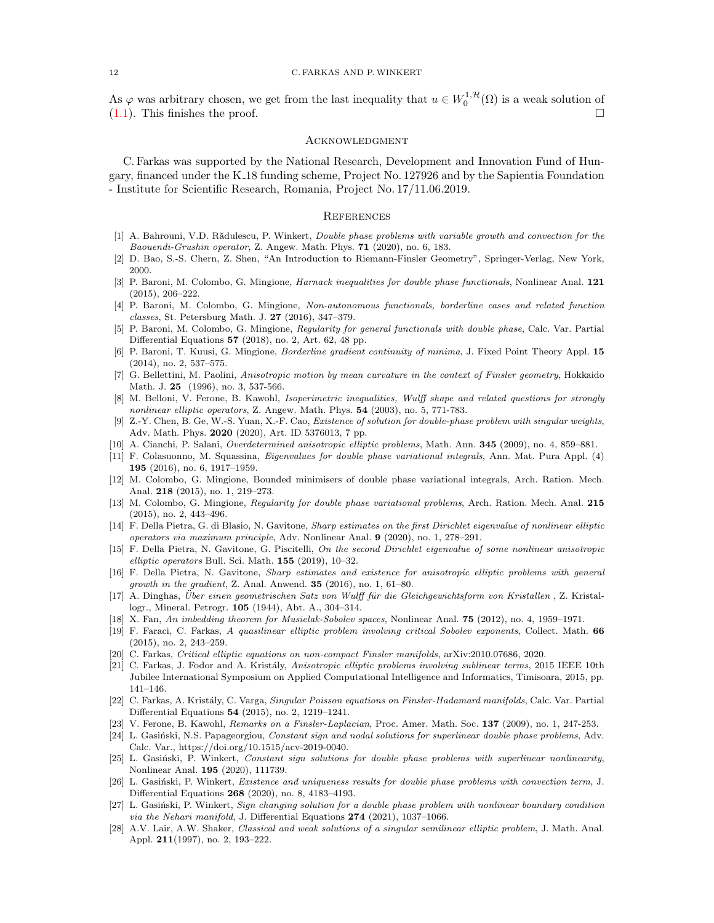As  $\varphi$  was arbitrary chosen, we get from the last inequality that  $u \in W_0^{1, \mathcal{H}}(\Omega)$  is a weak solution of  $(1.1)$ . This finishes the proof.

#### **ACKNOWLEDGMENT**

C. Farkas was supported by the National Research, Development and Innovation Fund of Hungary, financed under the K 18 funding scheme, Project No. 127926 and by the Sapientia Foundation - Institute for Scientific Research, Romania, Project No. 17/11.06.2019.

## **REFERENCES**

- <span id="page-11-25"></span>[1] A. Bahrouni, V.D. Rădulescu, P. Winkert, Double phase problems with variable growth and convection for the Baouendi-Grushin operator, Z. Angew. Math. Phys. 71 (2020), no. 6, 183.
- <span id="page-11-17"></span>[2] D. Bao, S.-S. Chern, Z. Shen, "An Introduction to Riemann-Finsler Geometry", Springer-Verlag, New York, 2000.
- <span id="page-11-11"></span>[3] P. Baroni, M. Colombo, G. Mingione, *Harnack inequalities for double phase functionals*, Nonlinear Anal. 121 (2015), 206–222.
- <span id="page-11-12"></span>[4] P. Baroni, M. Colombo, G. Mingione, Non-autonomous functionals, borderline cases and related function classes, St. Petersburg Math. J. 27 (2016), 347–379.
- <span id="page-11-13"></span>[5] P. Baroni, M. Colombo, G. Mingione, Regularity for general functionals with double phase, Calc. Var. Partial Differential Equations 57 (2018), no. 2, Art. 62, 48 pp.
- <span id="page-11-14"></span>[6] P. Baroni, T. Kuusi, G. Mingione, Borderline gradient continuity of minima, J. Fixed Point Theory Appl. 15 (2014), no. 2, 537–575.
- <span id="page-11-3"></span>[7] G. Bellettini, M. Paolini, Anisotropic motion by mean curvature in the context of Finsler geometry, Hokkaido Math. J. 25 (1996), no. 3, 537-566.
- <span id="page-11-4"></span>[8] M. Belloni, V. Ferone, B. Kawohl, Isoperimetric inequalities, Wulff shape and related questions for strongly nonlinear elliptic operators, Z. Angew. Math. Phys. 54 (2003), no. 5, 771-783.
- <span id="page-11-18"></span>[9] Z.-Y. Chen, B. Ge, W.-S. Yuan, X.-F. Cao, Existence of solution for double-phase problem with singular weights, Adv. Math. Phys. 2020 (2020), Art. ID 5376013, 7 pp.
- <span id="page-11-1"></span>[10] A. Cianchi, P. Salani, Overdetermined anisotropic elliptic problems, Math. Ann. 345 (2009), no. 4, 859–881.
- <span id="page-11-19"></span>[11] F. Colasuonno, M. Squassina, Eigenvalues for double phase variational integrals, Ann. Mat. Pura Appl. (4) 195 (2016), no. 6, 1917–1959.
- <span id="page-11-15"></span>[12] M. Colombo, G. Mingione, Bounded minimisers of double phase variational integrals, Arch. Ration. Mech. Anal. 218 (2015), no. 1, 219–273.
- <span id="page-11-16"></span>[13] M. Colombo, G. Mingione, Regularity for double phase variational problems, Arch. Ration. Mech. Anal. 215 (2015), no. 2, 443–496.
- <span id="page-11-6"></span>[14] F. Della Pietra, G. di Blasio, N. Gavitone, Sharp estimates on the first Dirichlet eigenvalue of nonlinear elliptic operators via maximum principle, Adv. Nonlinear Anal. 9 (2020), no. 1, 278–291.
- <span id="page-11-7"></span>[15] F. Della Pietra, N. Gavitone, G. Piscitelli, On the second Dirichlet eigenvalue of some nonlinear anisotropic elliptic operators Bull. Sci. Math. 155 (2019), 10–32.
- <span id="page-11-5"></span>[16] F. Della Pietra, N. Gavitone, Sharp estimates and existence for anisotropic elliptic problems with general growth in the gradient, Z. Anal. Anwend.  $35$   $(2016)$ , no. 1, 61–80.
- <span id="page-11-0"></span>[17] A. Dinghas, Über einen geometrischen Satz von Wulff für die Gleichgewichtsform von Kristallen, Z. Kristallogr., Mineral. Petrogr. 105 (1944), Abt. A., 304–314.
- <span id="page-11-24"></span>[18] X. Fan, An imbedding theorem for Musielak-Sobolev spaces, Nonlinear Anal. 75 (2012), no. 4, 1959–1971.
- <span id="page-11-26"></span>[19] F. Faraci, C. Farkas, A quasilinear elliptic problem involving critical Sobolev exponents, Collect. Math. 66 (2015), no. 2, 243–259.
- <span id="page-11-10"></span>[20] C. Farkas, Critical elliptic equations on non-compact Finsler manifolds, arXiv:2010.07686, 2020.
- <span id="page-11-2"></span>[21] C. Farkas, J. Fodor and A. Kristály, Anisotropic elliptic problems involving sublinear terms, 2015 IEEE 10th Jubilee International Symposium on Applied Computational Intelligence and Informatics, Timisoara, 2015, pp. 141–146.
- <span id="page-11-9"></span>[22] C. Farkas, A. Kristály, C. Varga, Singular Poisson equations on Finsler-Hadamard manifolds, Calc. Var. Partial Differential Equations 54 (2015), no. 2, 1219–1241.
- <span id="page-11-8"></span>[23] V. Ferone, B. Kawohl, Remarks on a Finsler-Laplacian, Proc. Amer. Math. Soc. 137 (2009), no. 1, 247-253.
- <span id="page-11-20"></span>[24] L. Gasiński, N.S. Papageorgiou, Constant sign and nodal solutions for superlinear double phase problems, Adv. Calc. Var., https://doi.org/10.1515/acv-2019-0040.
- <span id="page-11-21"></span>[25] L. Gasiński, P. Winkert, Constant sign solutions for double phase problems with superlinear nonlinearity, Nonlinear Anal. 195 (2020), 111739.
- <span id="page-11-22"></span>[26] L. Gasiński, P. Winkert, Existence and uniqueness results for double phase problems with convection term, J. Differential Equations 268 (2020), no. 8, 4183–4193.
- <span id="page-11-23"></span>[27] L. Gasiński, P. Winkert, Sign changing solution for a double phase problem with nonlinear boundary condition via the Nehari manifold, J. Differential Equations 274 (2021), 1037–1066.
- <span id="page-11-27"></span>[28] A.V. Lair, A.W. Shaker, Classical and weak solutions of a singular semilinear elliptic problem, J. Math. Anal. Appl. 211(1997), no. 2, 193–222.